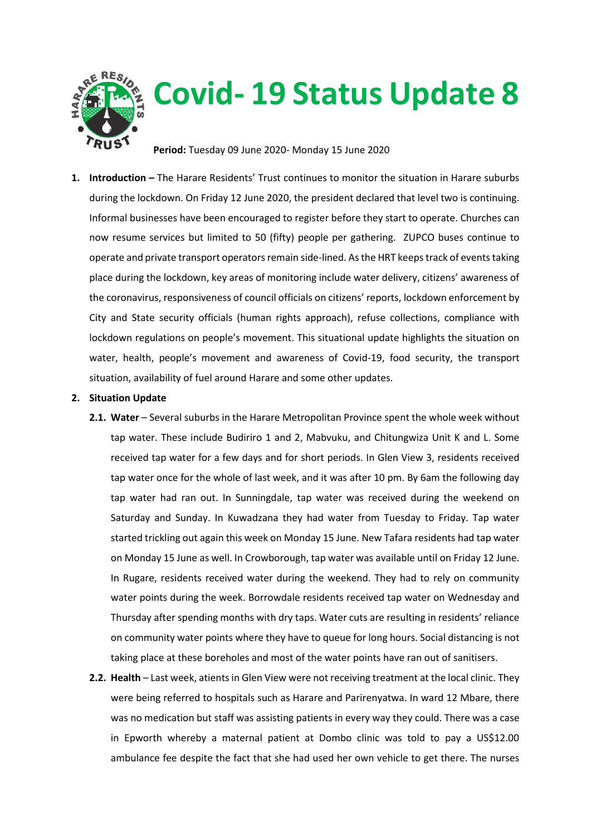

## **Covid- 19 Status Update 8**

**Period:** Tuesday 09 June 2020- Monday 15 June 2020

**1. Introduction –** The Harare Residents' Trust continues to monitor the situation in Harare suburbs during the lockdown. On Friday 12 June 2020, the president declared that level two is continuing. Informal businesses have been encouraged to register before they start to operate. Churches can now resume services but limited to 50 (fifty) people per gathering. ZUPCO buses continue to operate and private transport operators remain side-lined. As the HRT keeps track of events taking place during the lockdown, key areas of monitoring include water delivery, citizens' awareness of the coronavirus, responsiveness of council officials on citizens' reports, lockdown enforcement by City and State security officials (human rights approach), refuse collections, compliance with lockdown regulations on people's movement. This situational update highlights the situation on water, health, people's movement and awareness of Covid-19, food security, the transport situation, availability of fuel around Harare and some other updates.

## **2. Situation Update**

- 2.1. Water Several suburbs in the Harare Metropolitan Province spent the whole week without tap water. These include Budiriro 1 and 2, Mabvuku, and Chitungwiza Unit K and L. Some received tap water for a few days and for short periods. In Glen View 3, residents received tap water once for the whole of last week, and it was after 10 pm. By 6am the following day tap water had ran out. In Sunningdale, tap water was received during the weekend on Saturday and Sunday. In Kuwadzana they had water from Tuesday to Friday. Tap water started trickling out again this week on Monday 15 June. New Tafara residents had tap water on Monday 15 June as well. In Crowborough, tap water was available until on Friday 12 June. In Rugare, residents received water during the weekend. They had to rely on community water points during the week. Borrowdale residents received tap water on Wednesday and Thursday after spending months with dry taps. Water cuts are resulting in residents' reliance on community water points where they have to queue for long hours. Social distancing is not taking place at these boreholes and most of the water points have ran out of sanitisers.
- **2.2. Health**  Last week, atients in Glen View were not receiving treatment at the local clinic. They were being referred to hospitals such as Harare and Parirenyatwa. In ward 12 Mbare, there was no medication but staff was assisting patients in every way they could. There was a case in Epworth whereby a maternal patient at Dombo clinic was told to pay a US\$12.00 ambulance fee despite the fact that she had used her own vehicle to get there. The nurses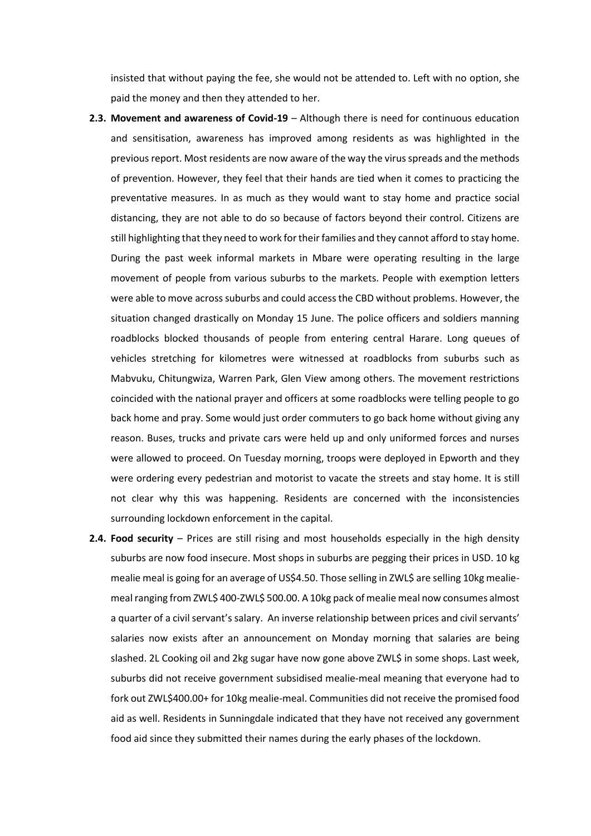insisted that without paying the fee, she would not be attended to. Left with no option, she paid the money and then they attended to her.

- **2.3. Movement and awareness of Covid-19** Although there is need for continuous education and sensitisation, awareness has improved among residents as was highlighted in the previous report. Most residents are now aware of the way the virus spreads and the methods of prevention. However, they feel that their hands are tied when it comes to practicing the preventative measures. In as much as they would want to stay home and practice social distancing, they are not able to do so because of factors beyond their control. Citizens are still highlighting that they need to work for their families and they cannot afford to stay home. During the past week informal markets in Mbare were operating resulting in the large movement of people from various suburbs to the markets. People with exemption letters were able to move across suburbs and could access the CBD without problems. However, the situation changed drastically on Monday 15 June. The police officers and soldiers manning roadblocks blocked thousands of people from entering central Harare. Long queues of vehicles stretching for kilometres were witnessed at roadblocks from suburbs such as Mabvuku, Chitungwiza, Warren Park, Glen View among others. The movement restrictions coincided with the national prayer and officers at some roadblocks were telling people to go back home and pray. Some would just order commuters to go back home without giving any reason. Buses, trucks and private cars were held up and only uniformed forces and nurses were allowed to proceed. On Tuesday morning, troops were deployed in Epworth and they were ordering every pedestrian and motorist to vacate the streets and stay home. It is still not clear why this was happening. Residents are concerned with the inconsistencies surrounding lockdown enforcement in the capital.
- **2.4. Food security**  Prices are still rising and most households especially in the high density suburbs are now food insecure. Most shops in suburbs are pegging their prices in USD. 10 kg mealie meal is going for an average of US\$4.50. Those selling in ZWL\$ are selling 10kg mealiemeal ranging from ZWL\$ 400-ZWL\$ 500.00. A 10kg pack of mealie meal now consumes almost a quarter of a civil servant's salary. An inverse relationship between prices and civil servants' salaries now exists after an announcement on Monday morning that salaries are being slashed. 2L Cooking oil and 2kg sugar have now gone above ZWL\$ in some shops. Last week, suburbs did not receive government subsidised mealie-meal meaning that everyone had to fork out ZWL\$400.00+ for 10kg mealie-meal. Communities did not receive the promised food aid as well. Residents in Sunningdale indicated that they have not received any government food aid since they submitted their names during the early phases of the lockdown.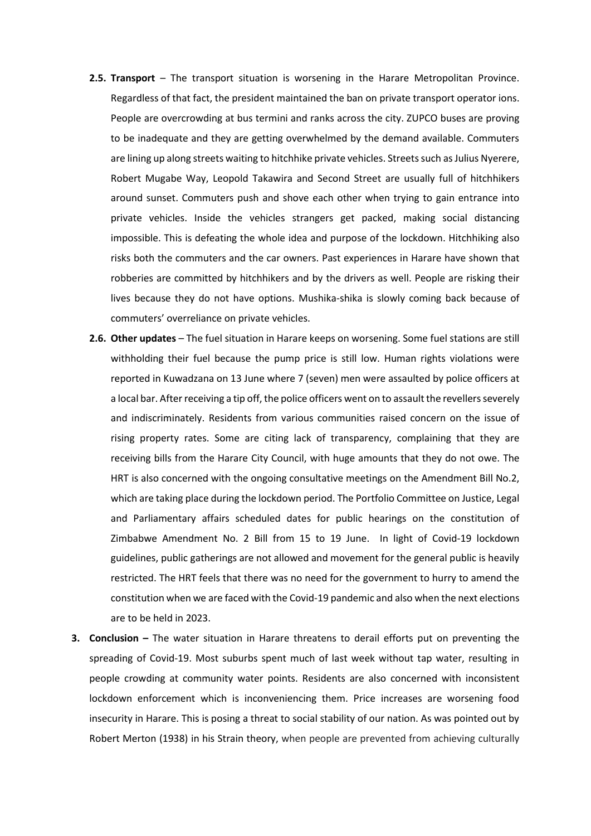- **2.5. Transport**  The transport situation is worsening in the Harare Metropolitan Province. Regardless of that fact, the president maintained the ban on private transport operator ions. People are overcrowding at bus termini and ranks across the city. ZUPCO buses are proving to be inadequate and they are getting overwhelmed by the demand available. Commuters are lining up along streets waiting to hitchhike private vehicles. Streets such as Julius Nyerere, Robert Mugabe Way, Leopold Takawira and Second Street are usually full of hitchhikers around sunset. Commuters push and shove each other when trying to gain entrance into private vehicles. Inside the vehicles strangers get packed, making social distancing impossible. This is defeating the whole idea and purpose of the lockdown. Hitchhiking also risks both the commuters and the car owners. Past experiences in Harare have shown that robberies are committed by hitchhikers and by the drivers as well. People are risking their lives because they do not have options. Mushika-shika is slowly coming back because of commuters' overreliance on private vehicles.
- 2.6. Other updates The fuel situation in Harare keeps on worsening. Some fuel stations are still withholding their fuel because the pump price is still low. Human rights violations were reported in Kuwadzana on 13 June where 7 (seven) men were assaulted by police officers at a local bar. After receiving a tip off, the police officers went on to assault the revellers severely and indiscriminately. Residents from various communities raised concern on the issue of rising property rates. Some are citing lack of transparency, complaining that they are receiving bills from the Harare City Council, with huge amounts that they do not owe. The HRT is also concerned with the ongoing consultative meetings on the Amendment Bill No.2, which are taking place during the lockdown period. The Portfolio Committee on Justice, Legal and Parliamentary affairs scheduled dates for public hearings on the constitution of Zimbabwe Amendment No. 2 Bill from 15 to 19 June. In light of Covid-19 lockdown guidelines, public gatherings are not allowed and movement for the general public is heavily restricted. The HRT feels that there was no need for the government to hurry to amend the constitution when we are faced with the Covid-19 pandemic and also when the next elections are to be held in 2023.
- **3. Conclusion –** The water situation in Harare threatens to derail efforts put on preventing the spreading of Covid-19. Most suburbs spent much of last week without tap water, resulting in people crowding at community water points. Residents are also concerned with inconsistent lockdown enforcement which is inconveniencing them. Price increases are worsening food insecurity in Harare. This is posing a threat to social stability of our nation. As was pointed out by Robert Merton (1938) in his Strain theory, when people are prevented from achieving culturally